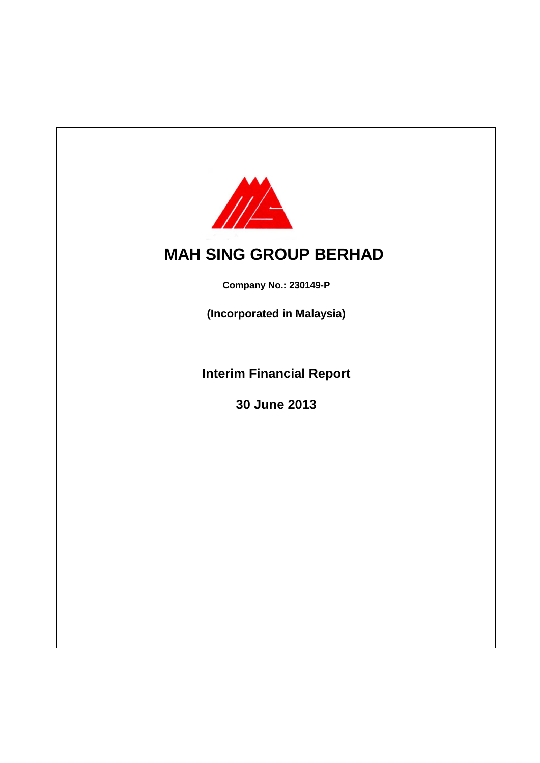

# **MAH SING GROUP BERHAD**

**Company No.: 230149-P**

**(Incorporated in Malaysia)**

**Interim Financial Report**

**30 June 2013**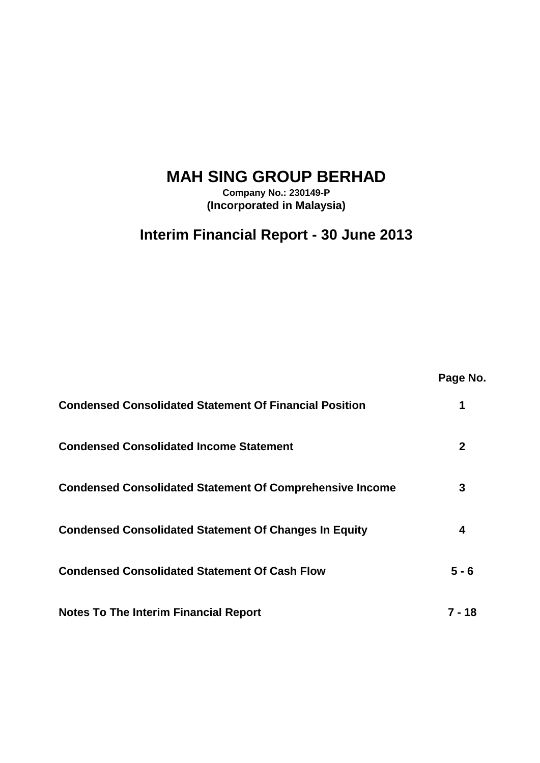# **MAH SING GROUP BERHAD**

**Company No.: 230149-P (Incorporated in Malaysia)**

## **Interim Financial Report - 30 June 2013**

|                                                                 | Page No.     |
|-----------------------------------------------------------------|--------------|
| <b>Condensed Consolidated Statement Of Financial Position</b>   | 1            |
| <b>Condensed Consolidated Income Statement</b>                  | $\mathbf{2}$ |
| <b>Condensed Consolidated Statement Of Comprehensive Income</b> | 3            |
| <b>Condensed Consolidated Statement Of Changes In Equity</b>    | 4            |
| <b>Condensed Consolidated Statement Of Cash Flow</b>            | $5 - 6$      |
| <b>Notes To The Interim Financial Report</b>                    | 7 - 18       |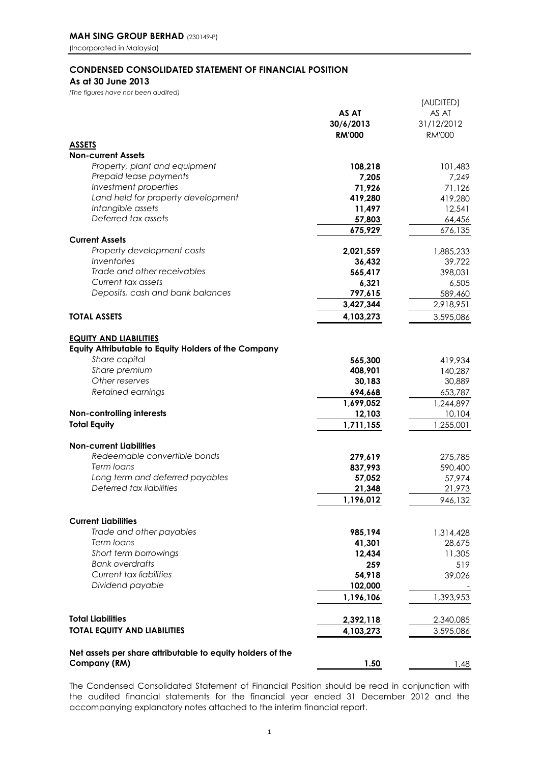## **CONDENSED CONSOLIDATED STATEMENT OF FINANCIAL POSITION**

**As at 30 June 2013**

*(The figures have not been audited)*

| <b>RM'000</b><br><b>RM'000</b><br><b>ASSETS</b><br><b>Non-current Assets</b><br>Property, plant and equipment<br>108,218<br>101,483<br>Prepaid lease payments<br>7,205<br>7,249<br>Investment properties<br>71,926<br>71,126<br>Land held for property development<br>419,280<br>419,280<br>Intangible assets<br>12,541<br>11,497<br>Deferred tax assets<br>57,803<br>64,456<br>675,929<br>676,135<br><b>Current Assets</b><br>Property development costs<br>1,885,233<br>2,021,559<br>Inventories<br>36,432<br>39,722<br>Trade and other receivables<br>565,417<br>398,031<br>Current tax assets<br>6,321<br>6,505<br>Deposits, cash and bank balances<br>797,615<br>589,460<br>3,427,344<br>2,918,951<br>4,103,273<br>3,595,086<br><b>TOTAL ASSETS</b><br>Equity Attributable to Equity Holders of the Company<br>Share capital<br>565,300<br>419,934<br>Share premium<br>408,901<br>140,287<br>Other reserves<br>30,183<br>30,889<br>Retained earnings<br>694,668<br>653,787<br>1,244,897<br>1,699,052<br>Non-controlling interests<br>12,103<br>10,104<br><b>Total Equity</b><br>1,711,155<br>1,255,001<br>Redeemable convertible bonds<br>279,619<br>Term loans<br>837,993<br>Long term and deferred payables<br>57,974<br>57,052<br>Deferred tax liabilities<br>21,348<br>21,973<br>1,196,012<br>946,132<br><b>Current Liabilities</b><br>Trade and other payables<br>985,194<br>1,314,428<br>Term loans<br>41,301<br>28,675<br>Short term borrowings<br>12,434<br>11,305<br><b>Bank overdrafts</b><br>259<br>519<br>Current tax liabilities<br>54,918<br>39,026<br>Dividend payable<br>102,000<br>1,196,106<br>1,393,953<br><b>Total Liabilities</b><br>2,392,118<br>2,340,085<br>4,103,273<br>3,595,086<br>Net assets per share attributable to equity holders of the<br>Company (RM)<br>1.50 |                                     | AS AT<br>30/6/2013 | (AUDITED)<br>AS AT<br>31/12/2012 |
|-------------------------------------------------------------------------------------------------------------------------------------------------------------------------------------------------------------------------------------------------------------------------------------------------------------------------------------------------------------------------------------------------------------------------------------------------------------------------------------------------------------------------------------------------------------------------------------------------------------------------------------------------------------------------------------------------------------------------------------------------------------------------------------------------------------------------------------------------------------------------------------------------------------------------------------------------------------------------------------------------------------------------------------------------------------------------------------------------------------------------------------------------------------------------------------------------------------------------------------------------------------------------------------------------------------------------------------------------------------------------------------------------------------------------------------------------------------------------------------------------------------------------------------------------------------------------------------------------------------------------------------------------------------------------------------------------------------------------------------------------------------------------------------------------------|-------------------------------------|--------------------|----------------------------------|
|                                                                                                                                                                                                                                                                                                                                                                                                                                                                                                                                                                                                                                                                                                                                                                                                                                                                                                                                                                                                                                                                                                                                                                                                                                                                                                                                                                                                                                                                                                                                                                                                                                                                                                                                                                                                       |                                     |                    |                                  |
|                                                                                                                                                                                                                                                                                                                                                                                                                                                                                                                                                                                                                                                                                                                                                                                                                                                                                                                                                                                                                                                                                                                                                                                                                                                                                                                                                                                                                                                                                                                                                                                                                                                                                                                                                                                                       |                                     |                    |                                  |
|                                                                                                                                                                                                                                                                                                                                                                                                                                                                                                                                                                                                                                                                                                                                                                                                                                                                                                                                                                                                                                                                                                                                                                                                                                                                                                                                                                                                                                                                                                                                                                                                                                                                                                                                                                                                       |                                     |                    |                                  |
|                                                                                                                                                                                                                                                                                                                                                                                                                                                                                                                                                                                                                                                                                                                                                                                                                                                                                                                                                                                                                                                                                                                                                                                                                                                                                                                                                                                                                                                                                                                                                                                                                                                                                                                                                                                                       |                                     |                    |                                  |
|                                                                                                                                                                                                                                                                                                                                                                                                                                                                                                                                                                                                                                                                                                                                                                                                                                                                                                                                                                                                                                                                                                                                                                                                                                                                                                                                                                                                                                                                                                                                                                                                                                                                                                                                                                                                       |                                     |                    |                                  |
|                                                                                                                                                                                                                                                                                                                                                                                                                                                                                                                                                                                                                                                                                                                                                                                                                                                                                                                                                                                                                                                                                                                                                                                                                                                                                                                                                                                                                                                                                                                                                                                                                                                                                                                                                                                                       |                                     |                    |                                  |
|                                                                                                                                                                                                                                                                                                                                                                                                                                                                                                                                                                                                                                                                                                                                                                                                                                                                                                                                                                                                                                                                                                                                                                                                                                                                                                                                                                                                                                                                                                                                                                                                                                                                                                                                                                                                       |                                     |                    |                                  |
|                                                                                                                                                                                                                                                                                                                                                                                                                                                                                                                                                                                                                                                                                                                                                                                                                                                                                                                                                                                                                                                                                                                                                                                                                                                                                                                                                                                                                                                                                                                                                                                                                                                                                                                                                                                                       |                                     |                    |                                  |
|                                                                                                                                                                                                                                                                                                                                                                                                                                                                                                                                                                                                                                                                                                                                                                                                                                                                                                                                                                                                                                                                                                                                                                                                                                                                                                                                                                                                                                                                                                                                                                                                                                                                                                                                                                                                       |                                     |                    |                                  |
|                                                                                                                                                                                                                                                                                                                                                                                                                                                                                                                                                                                                                                                                                                                                                                                                                                                                                                                                                                                                                                                                                                                                                                                                                                                                                                                                                                                                                                                                                                                                                                                                                                                                                                                                                                                                       |                                     |                    |                                  |
|                                                                                                                                                                                                                                                                                                                                                                                                                                                                                                                                                                                                                                                                                                                                                                                                                                                                                                                                                                                                                                                                                                                                                                                                                                                                                                                                                                                                                                                                                                                                                                                                                                                                                                                                                                                                       |                                     |                    |                                  |
|                                                                                                                                                                                                                                                                                                                                                                                                                                                                                                                                                                                                                                                                                                                                                                                                                                                                                                                                                                                                                                                                                                                                                                                                                                                                                                                                                                                                                                                                                                                                                                                                                                                                                                                                                                                                       |                                     |                    |                                  |
|                                                                                                                                                                                                                                                                                                                                                                                                                                                                                                                                                                                                                                                                                                                                                                                                                                                                                                                                                                                                                                                                                                                                                                                                                                                                                                                                                                                                                                                                                                                                                                                                                                                                                                                                                                                                       |                                     |                    |                                  |
|                                                                                                                                                                                                                                                                                                                                                                                                                                                                                                                                                                                                                                                                                                                                                                                                                                                                                                                                                                                                                                                                                                                                                                                                                                                                                                                                                                                                                                                                                                                                                                                                                                                                                                                                                                                                       |                                     |                    |                                  |
|                                                                                                                                                                                                                                                                                                                                                                                                                                                                                                                                                                                                                                                                                                                                                                                                                                                                                                                                                                                                                                                                                                                                                                                                                                                                                                                                                                                                                                                                                                                                                                                                                                                                                                                                                                                                       |                                     |                    |                                  |
|                                                                                                                                                                                                                                                                                                                                                                                                                                                                                                                                                                                                                                                                                                                                                                                                                                                                                                                                                                                                                                                                                                                                                                                                                                                                                                                                                                                                                                                                                                                                                                                                                                                                                                                                                                                                       |                                     |                    |                                  |
|                                                                                                                                                                                                                                                                                                                                                                                                                                                                                                                                                                                                                                                                                                                                                                                                                                                                                                                                                                                                                                                                                                                                                                                                                                                                                                                                                                                                                                                                                                                                                                                                                                                                                                                                                                                                       |                                     |                    |                                  |
|                                                                                                                                                                                                                                                                                                                                                                                                                                                                                                                                                                                                                                                                                                                                                                                                                                                                                                                                                                                                                                                                                                                                                                                                                                                                                                                                                                                                                                                                                                                                                                                                                                                                                                                                                                                                       | <b>EQUITY AND LIABILITIES</b>       |                    |                                  |
|                                                                                                                                                                                                                                                                                                                                                                                                                                                                                                                                                                                                                                                                                                                                                                                                                                                                                                                                                                                                                                                                                                                                                                                                                                                                                                                                                                                                                                                                                                                                                                                                                                                                                                                                                                                                       |                                     |                    |                                  |
|                                                                                                                                                                                                                                                                                                                                                                                                                                                                                                                                                                                                                                                                                                                                                                                                                                                                                                                                                                                                                                                                                                                                                                                                                                                                                                                                                                                                                                                                                                                                                                                                                                                                                                                                                                                                       |                                     |                    |                                  |
|                                                                                                                                                                                                                                                                                                                                                                                                                                                                                                                                                                                                                                                                                                                                                                                                                                                                                                                                                                                                                                                                                                                                                                                                                                                                                                                                                                                                                                                                                                                                                                                                                                                                                                                                                                                                       |                                     |                    |                                  |
|                                                                                                                                                                                                                                                                                                                                                                                                                                                                                                                                                                                                                                                                                                                                                                                                                                                                                                                                                                                                                                                                                                                                                                                                                                                                                                                                                                                                                                                                                                                                                                                                                                                                                                                                                                                                       |                                     |                    |                                  |
|                                                                                                                                                                                                                                                                                                                                                                                                                                                                                                                                                                                                                                                                                                                                                                                                                                                                                                                                                                                                                                                                                                                                                                                                                                                                                                                                                                                                                                                                                                                                                                                                                                                                                                                                                                                                       |                                     |                    |                                  |
|                                                                                                                                                                                                                                                                                                                                                                                                                                                                                                                                                                                                                                                                                                                                                                                                                                                                                                                                                                                                                                                                                                                                                                                                                                                                                                                                                                                                                                                                                                                                                                                                                                                                                                                                                                                                       |                                     |                    |                                  |
|                                                                                                                                                                                                                                                                                                                                                                                                                                                                                                                                                                                                                                                                                                                                                                                                                                                                                                                                                                                                                                                                                                                                                                                                                                                                                                                                                                                                                                                                                                                                                                                                                                                                                                                                                                                                       |                                     |                    |                                  |
|                                                                                                                                                                                                                                                                                                                                                                                                                                                                                                                                                                                                                                                                                                                                                                                                                                                                                                                                                                                                                                                                                                                                                                                                                                                                                                                                                                                                                                                                                                                                                                                                                                                                                                                                                                                                       | <b>Non-current Liabilities</b>      |                    |                                  |
|                                                                                                                                                                                                                                                                                                                                                                                                                                                                                                                                                                                                                                                                                                                                                                                                                                                                                                                                                                                                                                                                                                                                                                                                                                                                                                                                                                                                                                                                                                                                                                                                                                                                                                                                                                                                       |                                     |                    | 275,785                          |
|                                                                                                                                                                                                                                                                                                                                                                                                                                                                                                                                                                                                                                                                                                                                                                                                                                                                                                                                                                                                                                                                                                                                                                                                                                                                                                                                                                                                                                                                                                                                                                                                                                                                                                                                                                                                       |                                     |                    | 590,400                          |
|                                                                                                                                                                                                                                                                                                                                                                                                                                                                                                                                                                                                                                                                                                                                                                                                                                                                                                                                                                                                                                                                                                                                                                                                                                                                                                                                                                                                                                                                                                                                                                                                                                                                                                                                                                                                       |                                     |                    |                                  |
|                                                                                                                                                                                                                                                                                                                                                                                                                                                                                                                                                                                                                                                                                                                                                                                                                                                                                                                                                                                                                                                                                                                                                                                                                                                                                                                                                                                                                                                                                                                                                                                                                                                                                                                                                                                                       |                                     |                    |                                  |
|                                                                                                                                                                                                                                                                                                                                                                                                                                                                                                                                                                                                                                                                                                                                                                                                                                                                                                                                                                                                                                                                                                                                                                                                                                                                                                                                                                                                                                                                                                                                                                                                                                                                                                                                                                                                       |                                     |                    |                                  |
|                                                                                                                                                                                                                                                                                                                                                                                                                                                                                                                                                                                                                                                                                                                                                                                                                                                                                                                                                                                                                                                                                                                                                                                                                                                                                                                                                                                                                                                                                                                                                                                                                                                                                                                                                                                                       |                                     |                    |                                  |
|                                                                                                                                                                                                                                                                                                                                                                                                                                                                                                                                                                                                                                                                                                                                                                                                                                                                                                                                                                                                                                                                                                                                                                                                                                                                                                                                                                                                                                                                                                                                                                                                                                                                                                                                                                                                       |                                     |                    |                                  |
|                                                                                                                                                                                                                                                                                                                                                                                                                                                                                                                                                                                                                                                                                                                                                                                                                                                                                                                                                                                                                                                                                                                                                                                                                                                                                                                                                                                                                                                                                                                                                                                                                                                                                                                                                                                                       |                                     |                    |                                  |
|                                                                                                                                                                                                                                                                                                                                                                                                                                                                                                                                                                                                                                                                                                                                                                                                                                                                                                                                                                                                                                                                                                                                                                                                                                                                                                                                                                                                                                                                                                                                                                                                                                                                                                                                                                                                       |                                     |                    |                                  |
|                                                                                                                                                                                                                                                                                                                                                                                                                                                                                                                                                                                                                                                                                                                                                                                                                                                                                                                                                                                                                                                                                                                                                                                                                                                                                                                                                                                                                                                                                                                                                                                                                                                                                                                                                                                                       |                                     |                    |                                  |
|                                                                                                                                                                                                                                                                                                                                                                                                                                                                                                                                                                                                                                                                                                                                                                                                                                                                                                                                                                                                                                                                                                                                                                                                                                                                                                                                                                                                                                                                                                                                                                                                                                                                                                                                                                                                       |                                     |                    |                                  |
|                                                                                                                                                                                                                                                                                                                                                                                                                                                                                                                                                                                                                                                                                                                                                                                                                                                                                                                                                                                                                                                                                                                                                                                                                                                                                                                                                                                                                                                                                                                                                                                                                                                                                                                                                                                                       |                                     |                    |                                  |
|                                                                                                                                                                                                                                                                                                                                                                                                                                                                                                                                                                                                                                                                                                                                                                                                                                                                                                                                                                                                                                                                                                                                                                                                                                                                                                                                                                                                                                                                                                                                                                                                                                                                                                                                                                                                       |                                     |                    |                                  |
|                                                                                                                                                                                                                                                                                                                                                                                                                                                                                                                                                                                                                                                                                                                                                                                                                                                                                                                                                                                                                                                                                                                                                                                                                                                                                                                                                                                                                                                                                                                                                                                                                                                                                                                                                                                                       |                                     |                    |                                  |
|                                                                                                                                                                                                                                                                                                                                                                                                                                                                                                                                                                                                                                                                                                                                                                                                                                                                                                                                                                                                                                                                                                                                                                                                                                                                                                                                                                                                                                                                                                                                                                                                                                                                                                                                                                                                       | <b>TOTAL EQUITY AND LIABILITIES</b> |                    |                                  |
|                                                                                                                                                                                                                                                                                                                                                                                                                                                                                                                                                                                                                                                                                                                                                                                                                                                                                                                                                                                                                                                                                                                                                                                                                                                                                                                                                                                                                                                                                                                                                                                                                                                                                                                                                                                                       |                                     |                    |                                  |
|                                                                                                                                                                                                                                                                                                                                                                                                                                                                                                                                                                                                                                                                                                                                                                                                                                                                                                                                                                                                                                                                                                                                                                                                                                                                                                                                                                                                                                                                                                                                                                                                                                                                                                                                                                                                       |                                     |                    | 1.48                             |

The Condensed Consolidated Statement of Financial Position should be read in conjunction with the audited financial statements for the financial year ended 31 December 2012 and the accompanying explanatory notes attached to the interim financial report.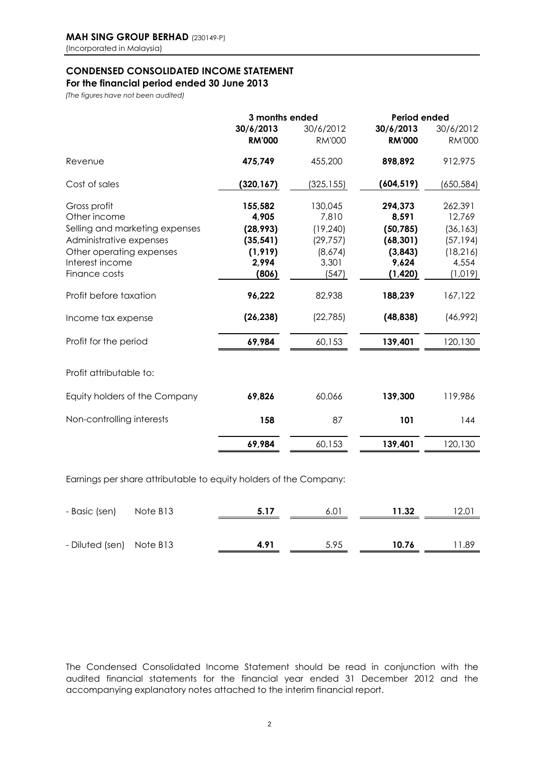#### **CONDENSED CONSOLIDATED INCOME STATEMENT**

### **For the financial period ended 30 June 2013**

*(The figures have not been audited)*

|                                                                                           | 3 months ended                          |                                        | Period ended                              |                                            |  |
|-------------------------------------------------------------------------------------------|-----------------------------------------|----------------------------------------|-------------------------------------------|--------------------------------------------|--|
|                                                                                           | 30/6/2013<br><b>RM'000</b>              | 30/6/2012<br><b>RM'000</b>             | 30/6/2013<br><b>RM'000</b>                | 30/6/2012<br><b>RM'000</b>                 |  |
| Revenue                                                                                   | 475,749                                 | 455,200                                | 898,892                                   | 912,975                                    |  |
| Cost of sales                                                                             | (320, 167)                              | (325, 155)                             | (604, 519)                                | (650,584)                                  |  |
| Gross profit<br>Other income<br>Selling and marketing expenses<br>Administrative expenses | 155,582<br>4,905<br>(28, 993)           | 130,045<br>7,810<br>(19, 240)          | 294,373<br>8,591<br>(50, 785)             | 262,391<br>12,769<br>(36, 163)             |  |
| Other operating expenses<br>Interest income<br>Finance costs                              | (35, 541)<br>(1, 919)<br>2,994<br>(806) | (29, 757)<br>(8,674)<br>3,301<br>(547) | (68, 301)<br>(3,843)<br>9,624<br>(1, 420) | (57,194)<br>(18, 216)<br>4,554<br>(1, 019) |  |
| Profit before taxation                                                                    | 96,222                                  | 82,938                                 | 188,239                                   | 167,122                                    |  |
| Income tax expense                                                                        | (26, 238)                               | (22, 785)                              | (48, 838)                                 | (46,992)                                   |  |
| Profit for the period                                                                     | 69,984                                  | 60,153                                 | 139,401                                   | 120,130                                    |  |
| Profit attributable to:                                                                   |                                         |                                        |                                           |                                            |  |
| Equity holders of the Company                                                             | 69,826                                  | 60,066                                 | 139,300                                   | 119,986                                    |  |
| Non-controlling interests                                                                 | 158                                     | 87                                     | 101                                       | 144                                        |  |
|                                                                                           | 69,984                                  | 60,153                                 | 139,401                                   | 120,130                                    |  |

Earnings per share attributable to equity holders of the Company:

| - Basic (sen)            | Note B13 | 5.17 | 6.01 | 11.32 | $12.0^{\circ}$ |
|--------------------------|----------|------|------|-------|----------------|
|                          |          |      |      |       |                |
| - Diluted (sen) Note B13 |          | 4.91 | 5.95 | 10.76 | 89. ا          |

The Condensed Consolidated Income Statement should be read in conjunction with the audited financial statements for the financial year ended 31 December 2012 and the accompanying explanatory notes attached to the interim financial report.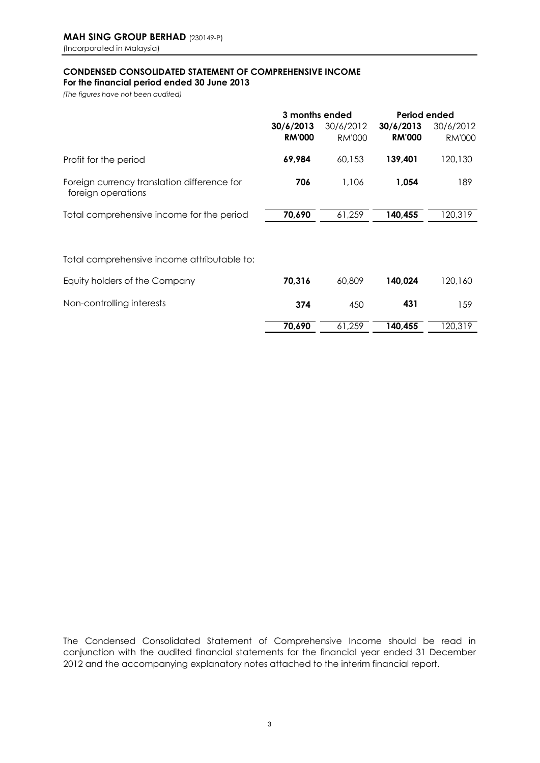### **CONDENSED CONSOLIDATED STATEMENT OF COMPREHENSIVE INCOME**

**For the financial period ended 30 June 2013**

*(The figures have not been audited)*

|                                                                   | 3 months ended |               | Period ended  |               |  |
|-------------------------------------------------------------------|----------------|---------------|---------------|---------------|--|
|                                                                   | 30/6/2013      | 30/6/2012     | 30/6/2013     | 30/6/2012     |  |
|                                                                   | <b>RM'000</b>  | <b>RM'000</b> | <b>RM'000</b> | <b>RM'000</b> |  |
| Profit for the period                                             | 69,984         | 60.153        | 139,401       | 120,130       |  |
| Foreign currency translation difference for<br>foreign operations | 706            | 1,106         | 1,054         | 189           |  |
| Total comprehensive income for the period                         | 70,690         | 61,259        | 140,455       | 120,319       |  |
| Total comprehensive income attributable to:                       |                |               |               |               |  |
| Equity holders of the Company                                     | 70,316         | 60,809        | 140.024       | 120,160       |  |
| Non-controlling interests                                         | 374            | 450           | 431           | 159           |  |

**70,690** 61,259 **140,455** 120,319

The Condensed Consolidated Statement of Comprehensive Income should be read in conjunction with the audited financial statements for the financial year ended 31 December 2012 and the accompanying explanatory notes attached to the interim financial report.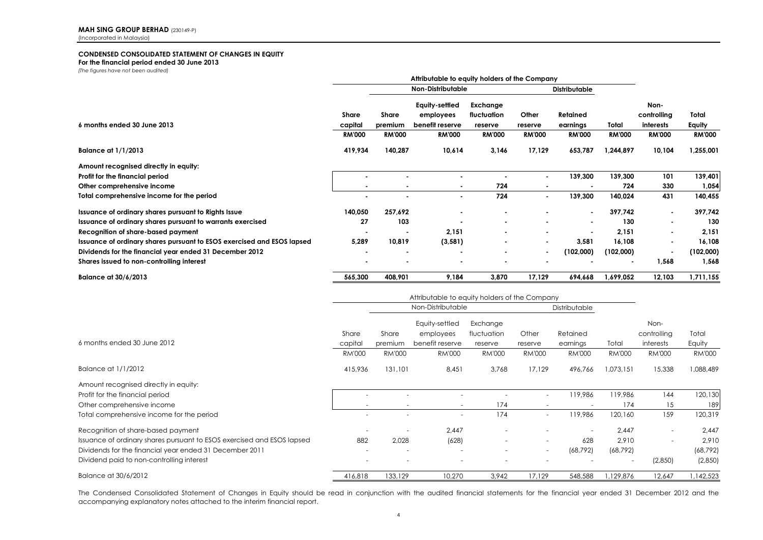#### **CONDENSED CONSOLIDATED STATEMENT OF CHANGES IN EQUITY**

**For the financial period ended 30 June 2013**

*(The figures have not been audited)*

|                                                                        | Attributable to equity holders of the Company |                          |                             |                         |                          |               |                |                     |               |
|------------------------------------------------------------------------|-----------------------------------------------|--------------------------|-----------------------------|-------------------------|--------------------------|---------------|----------------|---------------------|---------------|
|                                                                        | Non-Distributable                             |                          |                             | Distributable           |                          |               |                |                     |               |
|                                                                        | Share                                         | Share                    | Equity-settled<br>employees | Exchange<br>fluctuation | Other                    | Retained      |                | Non-<br>controlling | Total         |
| 6 months ended 30 June 2013                                            | capital                                       | premium                  | benefit reserve             | reserve                 | reserve                  | earnings      | Total          | interests           | Equity        |
|                                                                        | <b>RM'000</b>                                 | <b>RM'000</b>            | <b>RM'000</b>               | <b>RM'000</b>           | <b>RM'000</b>            | <b>RM'000</b> | <b>RM'000</b>  | <b>RM'000</b>       | <b>RM'000</b> |
| <b>Balance at 1/1/2013</b>                                             | 419,934                                       | 140,287                  | 10,614                      | 3,146                   | 17,129                   | 653,787       | 1,244,897      | 10,104              | 1,255,001     |
| Amount recognised directly in equity:                                  |                                               |                          |                             |                         |                          |               |                |                     |               |
| Profit for the financial period                                        |                                               | $\overline{\phantom{a}}$ |                             |                         | $\blacksquare$           | 139,300       | 139,300        | 101                 | 139,401       |
| Other comprehensive income                                             |                                               | $\blacksquare$           | $\blacksquare$              | 724                     |                          |               | 724            | 330                 | 1,054         |
| Total comprehensive income for the period                              |                                               | $\blacksquare$           | ۰                           | 724                     | $\blacksquare$           | 139,300       | 140,024        | 431                 | 140,455       |
| Issuance of ordinary shares pursuant to Rights Issue                   | 140,050                                       | 257,692                  |                             |                         |                          |               | 397,742        |                     | 397,742       |
| Issuance of ordinary shares pursuant to warrants exercised             | 27                                            | 103                      |                             |                         |                          |               | 130            |                     | 130           |
| Recognition of share-based payment                                     |                                               | $\blacksquare$           | 2,151                       |                         |                          |               | 2,151          |                     | 2,151         |
| Issuance of ordinary shares pursuant to ESOS exercised and ESOS lapsed | 5,289                                         | 10,819                   | (3, 581)                    |                         | $\,$                     | 3,581         | 16,108         |                     | 16,108        |
| Dividends for the financial year ended 31 December 2012                |                                               | $\blacksquare$           |                             |                         | $\overline{\phantom{a}}$ | (102,000)     | (102,000)      |                     | (102,000)     |
| Shares issued to non-controlling interest                              |                                               | ۰                        |                             |                         |                          |               | $\blacksquare$ | 1,568               | 1,568         |
| Balance at 30/6/2013                                                   | 565,300                                       | 408,901                  | 9,184                       | 3,870                   | 17,129                   | 694,668       | 1,699,052      | 12,103              | 1,711,155     |

|                                                                        | Attributable to equity holders of the Company |                          |                              |                        |                          |                      |                          |                          |                 |
|------------------------------------------------------------------------|-----------------------------------------------|--------------------------|------------------------------|------------------------|--------------------------|----------------------|--------------------------|--------------------------|-----------------|
|                                                                        |                                               | Non-Distributable        |                              |                        |                          | Distributable        |                          |                          |                 |
|                                                                        |                                               |                          | Equity-settled               | Exchange               |                          |                      |                          | Non-                     |                 |
| 6 months ended 30 June 2012                                            | Share<br>capital                              | Share<br>premium         | employees<br>benefit reserve | fluctuation<br>reserve | Other<br>reserve         | Retained<br>earnings | Total                    | controlling<br>interests | Total<br>Equity |
|                                                                        | <b>RM'000</b>                                 | <b>RM'000</b>            | <b>RM'000</b>                | <b>RM'000</b>          | RM'000                   | <b>RM'000</b>        | <b>RM'000</b>            | <b>RM'000</b>            | <b>RM'000</b>   |
| Balance at 1/1/2012                                                    | 415,936                                       | 131,101                  | 8,451                        | 3,768                  | 17,129                   | 496,766              | 1,073,151                | 15,338                   | 088,489         |
| Amount recognised directly in equity:                                  |                                               |                          |                              |                        |                          |                      |                          |                          |                 |
| Profit for the financial period                                        |                                               |                          |                              |                        | $\sim$                   | 119.986              | 119.986                  | 144                      | 120,130         |
| Other comprehensive income                                             |                                               | ۰                        | $\overline{\phantom{a}}$     | 174                    |                          |                      | 174                      | 15                       | 189             |
| Total comprehensive income for the period                              | -                                             | ٠                        | $\overline{\phantom{0}}$     | 174                    | $\overline{\phantom{a}}$ | 119,986              | 120,160                  | 159                      | 120,319         |
| Recognition of share-based payment                                     |                                               |                          | 2.447                        |                        | $\overline{\phantom{a}}$ |                      | 2.447                    |                          | 2,447           |
| Issuance of ordinary shares pursuant to ESOS exercised and ESOS lapsed | 882                                           | 2,028                    | (628)                        |                        | $\overline{\phantom{a}}$ | 628                  | 2,910                    | $\overline{\phantom{a}}$ | 2,910           |
| Dividends for the financial year ended 31 December 2011                |                                               | $\overline{\phantom{a}}$ |                              |                        | $\overline{\phantom{a}}$ | (68, 792)            | (68, 792)                |                          | (68, 792)       |
| Dividend paid to non-controlling interest                              | -                                             | ۰                        | ٠                            |                        |                          |                      | $\overline{\phantom{a}}$ | (2,850)                  | (2,850)         |
| Balance at 30/6/2012                                                   | 416,818                                       | 133,129                  | 10,270                       | 3,942                  | 17,129                   | 548,588              | 1,129,876                | 12,647                   | ,142,523        |

The Condensed Consolidated Statement of Changes in Equity should be read in conjunction with the audited financial statements for the financial year ended 31 December 2012 and the accompanying explanatory notes attached to the interim financial report.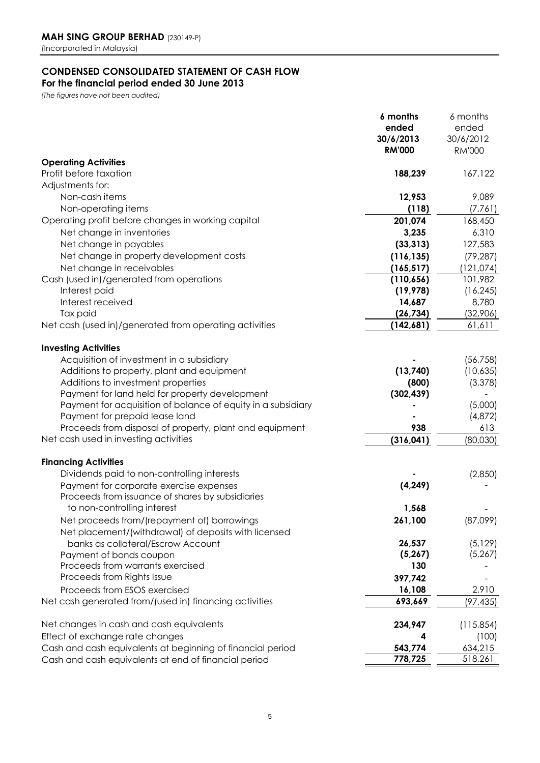### **CONDENSED CONSOLIDATED STATEMENT OF CASH FLOW**

**For the financial period ended 30 June 2013**

*(The figures have not been audited)*

|                                                                                             | 6 months      | 6 months      |
|---------------------------------------------------------------------------------------------|---------------|---------------|
|                                                                                             | ended         | ended         |
|                                                                                             | 30/6/2013     | 30/6/2012     |
|                                                                                             | <b>RM'000</b> | <b>RM'000</b> |
| <b>Operating Activities</b>                                                                 |               |               |
| Profit before taxation                                                                      | 188,239       | 167,122       |
| Adjustments for:                                                                            |               |               |
| Non-cash items                                                                              | 12,953        | 9,089         |
| Non-operating items                                                                         | (118)         | (7,761)       |
| Operating profit before changes in working capital                                          | 201,074       | 168,450       |
| Net change in inventories                                                                   | 3,235         | 6,310         |
| Net change in payables                                                                      | (33, 313)     | 127,583       |
| Net change in property development costs                                                    | (116, 135)    | (79, 287)     |
| Net change in receivables                                                                   | (165, 517)    | (121, 074)    |
| Cash (used in)/generated from operations                                                    | (110, 656)    | 101,982       |
| Interest paid                                                                               | (19, 978)     | (16, 245)     |
| Interest received                                                                           | 14,687        | 8,780         |
| Tax paid                                                                                    | (26, 734)     | (32,906)      |
| Net cash (used in)/generated from operating activities                                      | (142,681)     | 61,611        |
|                                                                                             |               |               |
| <b>Investing Activities</b>                                                                 |               |               |
| Acquisition of investment in a subsidiary                                                   |               | (56, 758)     |
| Additions to property, plant and equipment                                                  | (13,740)      | (10,635)      |
| Additions to investment properties                                                          | (800)         | (3, 378)      |
| Payment for land held for property development                                              | (302, 439)    |               |
| Payment for acquisition of balance of equity in a subsidiary                                |               | (5,000)       |
| Payment for prepaid lease land                                                              |               | (4,872)       |
| Proceeds from disposal of property, plant and equipment                                     | 938           | 613           |
| Net cash used in investing activities                                                       | (316, 041)    | (80,030)      |
|                                                                                             |               |               |
| <b>Financing Activities</b>                                                                 |               |               |
| Dividends paid to non-controlling interests                                                 |               | (2,850)       |
| Payment for corporate exercise expenses<br>Proceeds from issuance of shares by subsidiaries | (4, 249)      |               |
| to non-controlling interest                                                                 | 1,568         |               |
|                                                                                             | 261,100       |               |
| Net proceeds from/(repayment of) borrowings                                                 |               | (87,099)      |
| Net placement/(withdrawal) of deposits with licensed<br>banks as collateral/Escrow Account  | 26,537        | (5, 129)      |
| Payment of bonds coupon                                                                     | (5, 267)      | (5, 267)      |
| Proceeds from warrants exercised                                                            | 130           |               |
| Proceeds from Rights Issue                                                                  | 397,742       |               |
| Proceeds from ESOS exercised                                                                | 16,108        | 2,910         |
| Net cash generated from/(used in) financing activities                                      | 693,669       |               |
|                                                                                             |               | (97, 435)     |
| Net changes in cash and cash equivalents                                                    | 234,947       | (115, 854)    |
| Effect of exchange rate changes                                                             |               | (100)         |
| Cash and cash equivalents at beginning of financial period                                  | 543,774       | 634,215       |
| Cash and cash equivalents at end of financial period                                        | 778,725       | 518,261       |
|                                                                                             |               |               |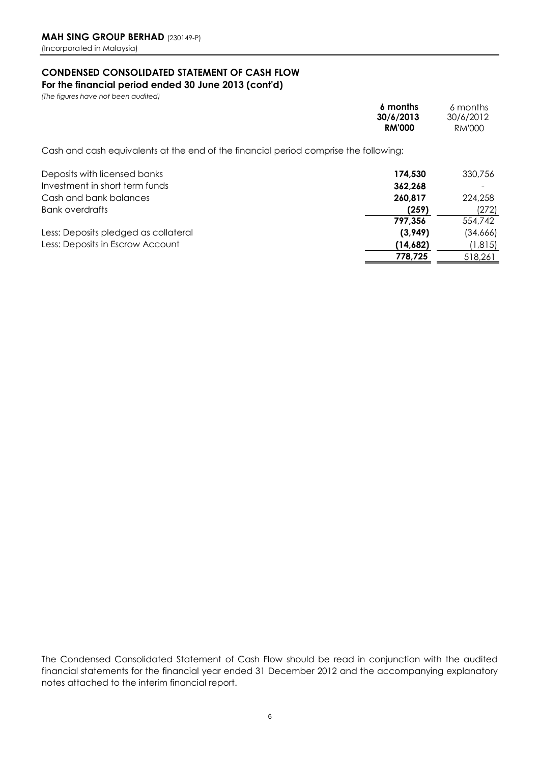## **CONDENSED CONSOLIDATED STATEMENT OF CASH FLOW**

**For the financial period ended 30 June 2013 (cont'd)**

*(The figures have not been audited)* 

|                                                                                      | 6 months<br>30/6/2013<br><b>RM'000</b> | 6 months<br>30/6/2012<br>RM'000 |
|--------------------------------------------------------------------------------------|----------------------------------------|---------------------------------|
| Cash and cash equivalents at the end of the financial period comprise the following: |                                        |                                 |
| Deposits with licensed banks                                                         | 174.530                                | 330,756                         |
| Investment in short term funds                                                       | 362.268                                |                                 |
| Cash and bank balances                                                               | 260,817                                | 224,258                         |
| Bank overdrafts                                                                      | (259)                                  | (272)                           |
|                                                                                      | 797.356                                | 554,742                         |
| Less: Deposits pledged as collateral                                                 | (3,949)                                | (34,666)                        |
| Less: Deposits in Escrow Account                                                     | (14,682)                               | (1,815)                         |
|                                                                                      | 778,725                                | 518,261                         |

The Condensed Consolidated Statement of Cash Flow should be read in conjunction with the audited financial statements for the financial year ended 31 December 2012 and the accompanying explanatory notes attached to the interim financial report.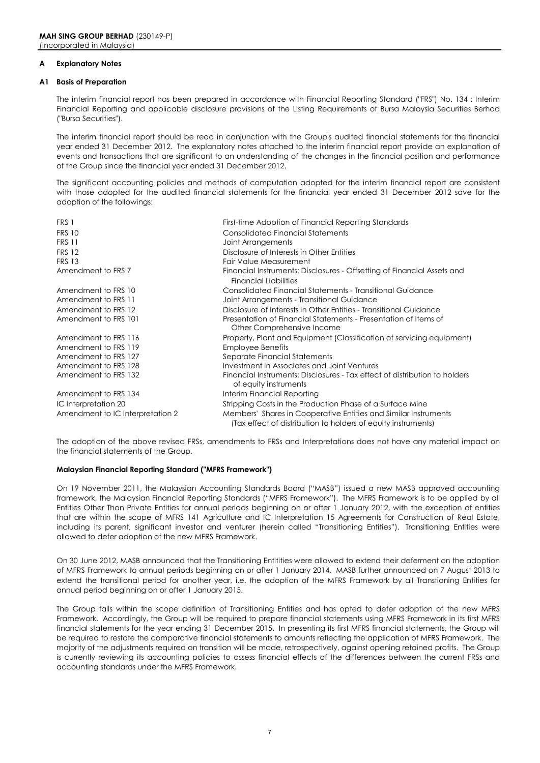#### **A Explanatory Notes**

#### **A1 Basis of Preparation**

The interim financial report has been prepared in accordance with Financial Reporting Standard ("FRS") No. 134 : Interim Financial Reporting and applicable disclosure provisions of the Listing Requirements of Bursa Malaysia Securities Berhad ("Bursa Securities").

The interim financial report should be read in conjunction with the Group's audited financial statements for the financial year ended 31 December 2012. The explanatory notes attached to the interim financial report provide an explanation of events and transactions that are significant to an understanding of the changes in the financial position and performance of the Group since the financial year ended 31 December 2012.

The significant accounting policies and methods of computation adopted for the interim financial report are consistent with those adopted for the audited financial statements for the financial year ended 31 December 2012 save for the adoption of the followings:

| FRS 1                            | First-time Adoption of Financial Reporting Standards                                                                             |
|----------------------------------|----------------------------------------------------------------------------------------------------------------------------------|
| <b>FRS 10</b>                    | <b>Consolidated Financial Statements</b>                                                                                         |
| <b>FRS 11</b>                    | Joint Arrangements                                                                                                               |
| <b>FRS 12</b>                    | Disclosure of Interests in Other Entities                                                                                        |
| <b>FRS 13</b>                    | Fair Value Measurement                                                                                                           |
| Amendment to FRS 7               | Financial Instruments: Disclosures - Offsetting of Financial Assets and<br><b>Financial Liabilities</b>                          |
| Amendment to FRS 10              | Consolidated Financial Statements - Transitional Guidance                                                                        |
| Amendment to FRS 11              | Joint Arrangements - Transitional Guidance                                                                                       |
| Amendment to FRS 12              | Disclosure of Interests in Other Entities - Transitional Guidance                                                                |
| Amendment to FRS 101             | Presentation of Financial Statements - Presentation of Items of<br>Other Comprehensive Income                                    |
| Amendment to FRS 116             | Property, Plant and Equipment (Classification of servicing equipment)                                                            |
| Amendment to FRS 119             | <b>Employee Benefits</b>                                                                                                         |
| Amendment to FRS 127             | Separate Financial Statements                                                                                                    |
| Amendment to FRS 128             | Investment in Associates and Joint Ventures                                                                                      |
| Amendment to FRS 132             | Financial Instruments: Disclosures - Tax effect of distribution to holders<br>of equity instruments                              |
| Amendment to FRS 134             | Interim Financial Reporting                                                                                                      |
| IC Interpretation 20             | Stripping Costs in the Production Phase of a Surface Mine                                                                        |
| Amendment to IC Interpretation 2 | Members' Shares in Cooperative Entities and Similar Instruments<br>(Tax effect of distribution to holders of equity instruments) |

The adoption of the above revised FRSs, amendments to FRSs and Interpretations does not have any material impact on the financial statements of the Group.

#### **Malaysian Financial Reporting Standard ("MFRS Framework")**

On 19 November 2011, the Malaysian Accounting Standards Board ("MASB") issued a new MASB approved accounting framework, the Malaysian Financial Reporting Standards ("MFRS Framework"). The MFRS Framework is to be applied by all Entities Other Than Private Entities for annual periods beginning on or after 1 January 2012, with the exception of entities that are within the scope of MFRS 141 Agriculture and IC Interpretation 15 Agreements for Construction of Real Estate, including its parent, significant investor and venturer (herein called "Transitioning Entities"). Transitioning Entities were allowed to defer adoption of the new MFRS Framework.

On 30 June 2012, MASB announced that the Transitioning Entitities were allowed to extend their deferment on the adoption of MFRS Framework to annual periods beginning on or after 1 January 2014. MASB further announced on 7 August 2013 to extend the transitional period for another year, i.e. the adoption of the MFRS Framework by all Transtioning Entities for annual period beginning on or after 1 January 2015.

The Group falls within the scope definition of Transitioning Entities and has opted to defer adoption of the new MFRS Framework. Accordingly, the Group will be required to prepare financial statements using MFRS Framework in its first MFRS financial statements for the year ending 31 December 2015. In presenting its first MFRS financial statements, the Group will be required to restate the comparative financial statements to amounts reflecting the application of MFRS Framework. The majority of the adjustments required on transition will be made, retrospectively, against opening retained profits. The Group is currently reviewing its accounting policies to assess financial effects of the differences between the current FRSs and accounting standards under the MFRS Framework.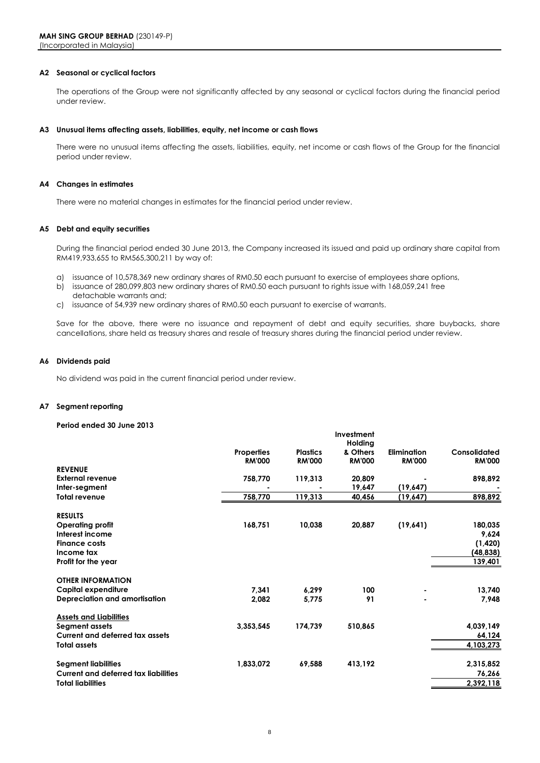#### **A2 Seasonal or cyclical factors**

The operations of the Group were not significantly affected by any seasonal or cyclical factors during the financial period under review.

#### **A3 Unusual items affecting assets, liabilities, equity, net income or cash flows**

There were no unusual items affecting the assets, liabilities, equity, net income or cash flows of the Group for the financial period under review.

#### **A4 Changes in estimates**

There were no material changes in estimates for the financial period under review.

#### **A5 Debt and equity securities**

During the financial period ended 30 June 2013, the Company increased its issued and paid up ordinary share capital from RM419,933,655 to RM565,300,211 by way of:

- a) issuance of 10,578,369 new ordinary shares of RM0.50 each pursuant to exercise of employees share options,
- detachable warrants and; b) issuance of 280,099,803 new ordinary shares of RM0.50 each pursuant to rights issue with 168,059,241 free
- c) issuance of 54,939 new ordinary shares of RM0.50 each pursuant to exercise of warrants.

Save for the above, there were no issuance and repayment of debt and equity securities, share buybacks, share cancellations, share held as treasury shares and resale of treasury shares during the financial period under review.

#### **A6 Dividends paid**

No dividend was paid in the current financial period under review.

#### **A7 Segment reporting**

#### **Period ended 30 June 2013**

|                   |                      | Investment                   |                             |                      |
|-------------------|----------------------|------------------------------|-----------------------------|----------------------|
|                   |                      | Holding                      |                             |                      |
| <b>Properties</b> | <b>Plastics</b>      | & Others                     | <b>Elimination</b>          | Consolidated         |
| <b>RM'000</b>     | <b>RM'000</b>        | <b>RM'000</b>                | <b>RM'000</b>               | <b>RM'000</b>        |
|                   |                      |                              |                             |                      |
| 758,770           |                      | 20,809                       |                             | 898,892              |
|                   |                      |                              |                             |                      |
| 758,770           | 119,313              | 40,456                       | (19,647)                    | 898,892              |
|                   |                      |                              |                             |                      |
|                   |                      |                              |                             | 180,035              |
|                   |                      |                              |                             | 9,624                |
|                   |                      |                              |                             | (1,420)              |
|                   |                      |                              |                             | (48, 838)            |
|                   |                      |                              |                             | 139,401              |
|                   |                      |                              |                             |                      |
|                   |                      |                              |                             |                      |
| 7,341             | 6,299                | 100                          |                             | 13,740               |
| 2,082             | 5.775                | 91                           |                             | 7,948                |
|                   |                      |                              |                             |                      |
|                   |                      |                              |                             | 4,039,149            |
|                   |                      |                              |                             | 64,124               |
|                   |                      |                              |                             | 4,103,273            |
|                   |                      |                              |                             |                      |
| 1,833,072         | 69,588               | 413,192                      |                             | 2,315,852            |
|                   |                      |                              |                             | 76,266               |
|                   |                      |                              |                             | 2,392,118            |
|                   | 168,751<br>3,353,545 | 119,313<br>10,038<br>174,739 | 19,647<br>20,887<br>510,865 | (19,647)<br>(19,641) |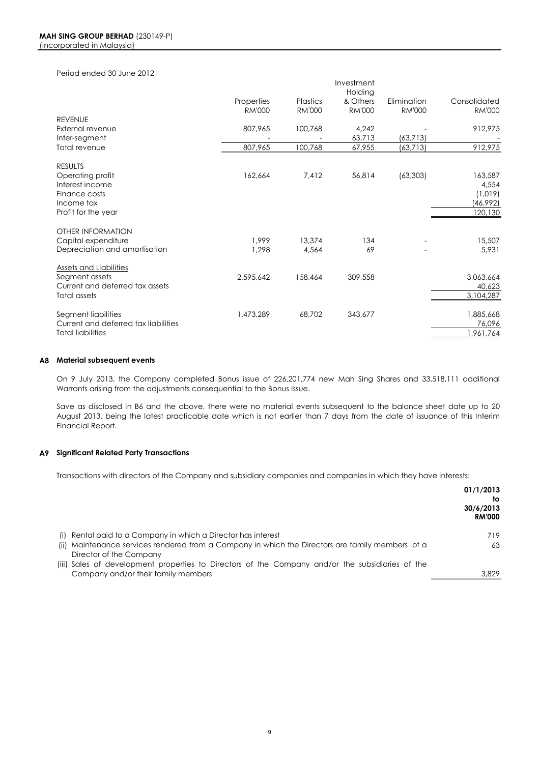Period ended 30 June 2012

| <b>REVENUE</b>                                       | Properties<br><b>RM'000</b> | <b>Plastics</b><br><b>RM'000</b> | Investment<br>Holding<br>& Others<br><b>RM'000</b> | Elimination<br><b>RM'000</b> | Consolidated<br><b>RM'000</b> |
|------------------------------------------------------|-----------------------------|----------------------------------|----------------------------------------------------|------------------------------|-------------------------------|
| External revenue                                     | 807,965                     | 100,768                          | 4,242                                              |                              | 912,975                       |
| Inter-segment                                        |                             |                                  | 63,713                                             | (63, 713)                    |                               |
| Total revenue                                        | 807,965                     | 100,768                          | 67,955                                             | (63, 713)                    | 912,975                       |
| <b>RESULTS</b><br>Operating profit                   | 162,664                     | 7,412                            | 56,814                                             | (63, 303)                    | 163,587                       |
| Interest income                                      |                             |                                  |                                                    |                              | 4,554                         |
| Finance costs                                        |                             |                                  |                                                    |                              | (1,019)                       |
| Income tax                                           |                             |                                  |                                                    |                              | (46,992)                      |
| Profit for the year                                  |                             |                                  |                                                    |                              | 120,130                       |
| OTHER INFORMATION                                    | 1.999                       | 13,374                           | 134                                                |                              |                               |
| Capital expenditure<br>Depreciation and amortisation | 1,298                       | 4,564                            | 69                                                 |                              | 15,507<br>5,931               |
|                                                      |                             |                                  |                                                    |                              |                               |
| <b>Assets and Liabilities</b><br>Segment assets      | 2,595,642                   | 158,464                          | 309,558                                            |                              | 3,063,664                     |
| Current and deferred tax assets                      |                             |                                  |                                                    |                              | 40,623                        |
| Total assets                                         |                             |                                  |                                                    |                              | 3,104,287                     |
|                                                      |                             |                                  |                                                    |                              |                               |
| Segment liabilities                                  | 1,473,289                   | 68,702                           | 343,677                                            |                              | 1,885,668                     |
| Current and deferred tax liabilities                 |                             |                                  |                                                    |                              | 76,096                        |
| <b>Total liabilities</b>                             |                             |                                  |                                                    |                              | 1,961,764                     |
|                                                      |                             |                                  |                                                    |                              |                               |

#### **A8 Material subsequent events**

On 9 July 2013, the Company completed Bonus issue of 226,201,774 new Mah Sing Shares and 33,518,111 additional Warrants arising from the adjustments consequential to the Bonus Issue.

Save as disclosed in B6 and the above, there were no material events subsequent to the balance sheet date up to 20 August 2013, being the latest practicable date which is not earlier than 7 days from the date of issuance of this Interim Financial Report.

#### **A9 Significant Related Party Transactions**

Transactions with directors of the Company and subsidiary companies and companies in which they have interests:

|                                                                                                  | 01/1/2013<br>tΟ<br>30/6/2013<br><b>RM'000</b> |
|--------------------------------------------------------------------------------------------------|-----------------------------------------------|
| (i) Rental paid to a Company in which a Director has interest                                    | 719                                           |
| (ii) Maintenance services rendered from a Company in which the Directors are family members of a | 63                                            |
| Director of the Company                                                                          |                                               |
| (iii) Sales of development properties to Directors of the Company and/or the subsidiaries of the |                                               |
| Company and/or their family members                                                              | 3,829                                         |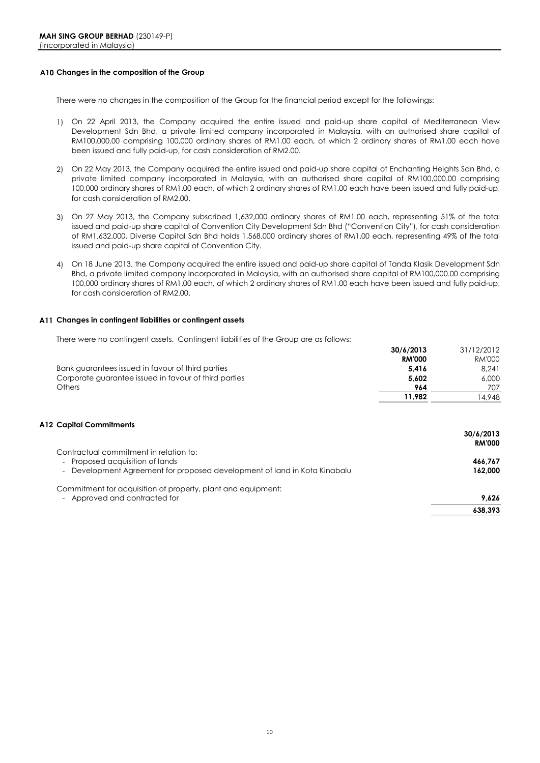#### **A10 Changes in the composition of the Group**

There were no changes in the composition of the Group for the financial period except for the followings:

- 1) On 22 April 2013, the Company acquired the entire issued and paid-up share capital of Mediterranean View Development Sdn Bhd, a private limited company incorporated in Malaysia, with an authorised share capital of RM100,000.00 comprising 100,000 ordinary shares of RM1.00 each, of which 2 ordinary shares of RM1.00 each have been issued and fully paid-up, for cash consideration of RM2.00.
- 2) On 22 May 2013, the Company acquired the entire issued and paid-up share capital of Enchanting Heights Sdn Bhd, a private limited company incorporated in Malaysia, with an authorised share capital of RM100,000.00 comprising 100,000 ordinary shares of RM1.00 each, of which 2 ordinary shares of RM1.00 each have been issued and fully paid-up, for cash consideration of RM2.00.
- 3) On 27 May 2013, the Company subscribed 1,632,000 ordinary shares of RM1.00 each, representing 51% of the total issued and paid-up share capital of Convention City Development Sdn Bhd ("Convention City"), for cash consideration of RM1,632,000. Diverse Capital Sdn Bhd holds 1,568,000 ordinary shares of RM1.00 each, representing 49% of the total issued and paid-up share capital of Convention City.
- 4) On 18 June 2013, the Company acquired the entire issued and paid-up share capital of Tanda Klasik Development Sdn Bhd, a private limited company incorporated in Malaysia, with an authorised share capital of RM100,000.00 comprising 100,000 ordinary shares of RM1.00 each, of which 2 ordinary shares of RM1.00 each have been issued and fully paid-up, for cash consideration of RM2.00.

#### **A11 Changes in contingent liabilities or contingent assets**

There were no contingent assets. Contingent liabilities of the Group are as follows:

|                                                       | 30/6/2013     | 31/12/2012    |
|-------------------------------------------------------|---------------|---------------|
|                                                       | <b>RM'000</b> | <b>RM'000</b> |
| Bank guarantees issued in favour of third parties     | 5.416         | 8.241         |
| Corporate guarantee issued in favour of third parties | 5.602         | 6,000         |
| <b>Others</b>                                         | 964           | 707           |
|                                                       | 11.982        | 4.948         |
|                                                       |               |               |

#### **A12 Capital Commitments**

|                                                                           | 30/6/2013     |
|---------------------------------------------------------------------------|---------------|
|                                                                           | <b>RM'000</b> |
| Contractual commitment in relation to:                                    |               |
| - Proposed acquisition of lands                                           | 466.767       |
| - Development Agreement for proposed development of land in Kota Kinabalu | 162.000       |
| Commitment for acquisition of property, plant and equipment:              |               |
| - Approved and contracted for                                             | 9.626         |
|                                                                           | 638.393       |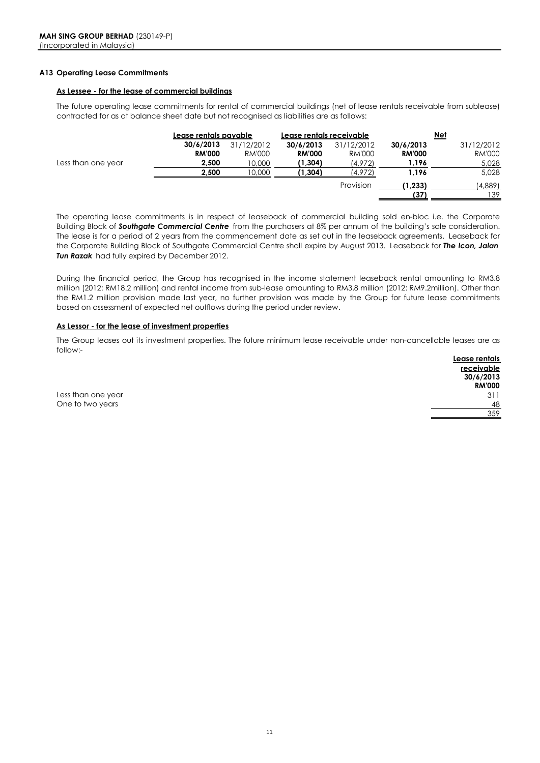#### **A13 Operating Lease Commitments**

#### **As Lessee - for the lease of commercial buildings**

The future operating lease commitments for rental of commercial buildings (net of lease rentals receivable from sublease) contracted for as at balance sheet date but not recognised as liabilities are as follows:

|                    | Lease rentals payable |            | Lease rentals receivable |            |               | Net           |
|--------------------|-----------------------|------------|--------------------------|------------|---------------|---------------|
|                    | 30/6/2013             | 31/12/2012 | 30/6/2013                | 31/12/2012 | 30/6/2013     | 31/12/2012    |
|                    | <b>RM'000</b>         | RM'000     | <b>RM'000</b>            | RM'000     | <b>RM'000</b> | <b>RM'000</b> |
| Less than one year | 2,500                 | 10,000     | (1,304)                  | (4,972)    | 1,196         | 5,028         |
|                    | 2,500                 | 10.000     | '1,304)                  | 4.972)     | 1,196         | 5,028         |
|                    |                       |            |                          | Provision  | (1, 233)      | (4,889)       |
|                    |                       |            |                          |            | (37           | 139           |

The operating lease commitments is in respect of leaseback of commercial building sold en-bloc i.e. the Corporate Building Block of *Southgate Commercial Centre* from the purchasers at 8% per annum of the building's sale consideration. The lease is for a period of 2 years from the commencement date as set out in the leaseback agreements. Leaseback for the Corporate Building Block of Southgate Commercial Centre shall expire by August 2013. Leaseback for *The Icon, Jalan Tun Razak* had fully expired by December 2012.

During the financial period, the Group has recognised in the income statement leaseback rental amounting to RM3.8 million (2012: RM18.2 million) and rental income from sub-lease amounting to RM3.8 million (2012: RM9.2million). Other than the RM1.2 million provision made last year, no further provision was made by the Group for future lease commitments based on assessment of expected net outflows during the period under review.

#### **As Lessor - for the lease of investment properties**

The Group leases out its investment properties. The future minimum lease receivable under non-cancellable leases are as follow:-

|                    | Lease rentals   |
|--------------------|-----------------|
|                    | receivable      |
|                    | 30/6/2013       |
|                    | <b>RM'000</b>   |
| Less than one year | 31 <sup>2</sup> |
| One to two years   | 48              |
|                    | 359             |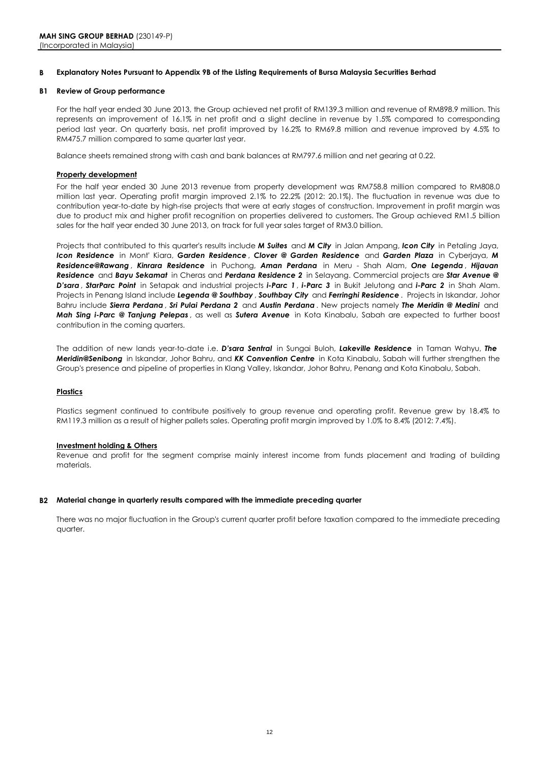#### **B Explanatory Notes Pursuant to Appendix 9B of the Listing Requirements of Bursa Malaysia Securities Berhad**

#### **B1 Review of Group performance**

For the half year ended 30 June 2013, the Group achieved net profit of RM139.3 million and revenue of RM898.9 million. This represents an improvement of 16.1% in net profit and a slight decline in revenue by 1.5% compared to corresponding period last year. On quarterly basis, net profit improved by 16.2% to RM69.8 million and revenue improved by 4.5% to RM475.7 million compared to same quarter last year.

Balance sheets remained strong with cash and bank balances at RM797.6 million and net gearing at 0.22.

#### **Property development**

For the half year ended 30 June 2013 revenue from property development was RM758.8 million compared to RM808.0 million last year. Operating profit margin improved 2.1% to 22.2% (2012: 20.1%). The fluctuation in revenue was due to contribution year-to-date by high-rise projects that were at early stages of construction. Improvement in profit margin was due to product mix and higher profit recognition on properties delivered to customers. The Group achieved RM1.5 billion sales for the half year ended 30 June 2013, on track for full year sales target of RM3.0 billion.

Projects that contributed to this quarter's results include *M Suites* and *M City* in Jalan Ampang, *Icon City* in Petaling Jaya, *Icon Residence* in Mont' Kiara, *Garden Residence* , *Clover @ Garden Residence* and *Garden Plaza* in Cyberjaya, *M Residence@Rawang* , *Kinrara Residence* in Puchong, *Aman Perdana* in Meru - Shah Alam, *One Legenda* , *Hijauan Residence* and *Bayu Sekamat* in Cheras and *Perdana Residence 2* in Selayang. Commercial projects are *Star Avenue @ D'sara* , *StarParc Point* in Setapak and industrial projects *i-Parc 1* , *i-Parc 3* in Bukit Jelutong and *i-Parc 2* in Shah Alam. Projects in Penang Island include *Legenda @ Southbay* , *Southbay City* and *Ferringhi Residence* . Projects in Iskandar, Johor Bahru include *Sierra Perdana* , *Sri Pulai Perdana 2* and *Austin Perdana* . New projects namely *The Meridin @ Medini* and *Mah Sing i-Parc @ Tanjung Pelepas* , as well as *Sutera Avenue* in Kota Kinabalu, Sabah are expected to further boost contribution in the coming quarters.

The addition of new lands year-to-date i.e. *D'sara Sentral* in Sungai Buloh, *Lakeville Residence* in Taman Wahyu, *The Meridin@Senibong* in Iskandar, Johor Bahru, and *KK Convention Centre* in Kota Kinabalu, Sabah will further strengthen the Group's presence and pipeline of properties in Klang Valley, Iskandar, Johor Bahru, Penang and Kota Kinabalu, Sabah.

#### **Plastics**

Plastics segment continued to contribute positively to group revenue and operating profit. Revenue grew by 18.4% to RM119.3 million as a result of higher pallets sales. Operating profit margin improved by 1.0% to 8.4% (2012: 7.4%).

#### **Investment holding & Others**

Revenue and profit for the segment comprise mainly interest income from funds placement and trading of building materials.

#### **B2 Material change in quarterly results compared with the immediate preceding quarter**

There was no major fluctuation in the Group's current quarter profit before taxation compared to the immediate preceding quarter.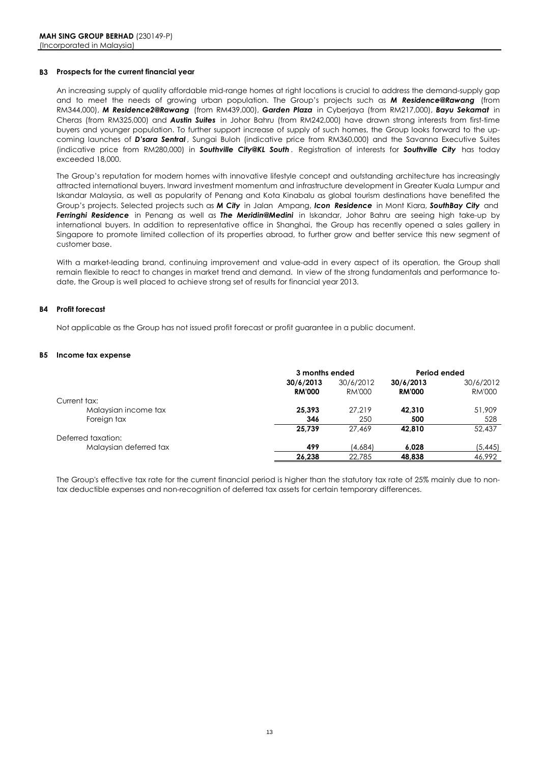#### **B3 Prospects for the current financial year**

An increasing supply of quality affordable mid-range homes at right locations is crucial to address the demand-supply gap and to meet the needs of growing urban population. The Group's projects such as *M Residence@Rawang* (from RM344,000), *M Residence2@Rawang* (from RM439,000), *Garden Plaza* in Cyberjaya (from RM217,000), *Bayu Sekamat* in Cheras (from RM325,000) and *Austin Suites* in Johor Bahru (from RM242,000) have drawn strong interests from first-time buyers and younger population. To further support increase of supply of such homes, the Group looks forward to the upcoming launches of *D'sara Sentral* , Sungai Buloh (indicative price from RM360,000) and the Savanna Executive Suites (indicative price from RM280,000) in *Southville City@KL South* . Registration of interests for *Southville City* has today exceeded 18,000.

The Group's reputation for modern homes with innovative lifestyle concept and outstanding architecture has increasingly attracted international buyers. Inward investment momentum and infrastructure development in Greater Kuala Lumpur and Iskandar Malaysia, as well as popularity of Penang and Kota Kinabalu as global tourism destinations have benefited the Group's projects. Selected projects such as *M City* in Jalan Ampang, *Icon Residence* in Mont Kiara, *SouthBay City* and *Ferringhi Residence* in Penang as well as *The Meridin@Medini* in Iskandar, Johor Bahru are seeing high take-up by international buyers. In addition to representative office in Shanghai, the Group has recently opened a sales gallery in Singapore to promote limited collection of its properties abroad, to further grow and better service this new segment of customer base.

With a market-leading brand, continuing improvement and value-add in every aspect of its operation, the Group shall remain flexible to react to changes in market trend and demand. In view of the strong fundamentals and performance todate, the Group is well placed to achieve strong set of results for financial year 2013.

#### **B4 Profit forecast**

Not applicable as the Group has not issued profit forecast or profit guarantee in a public document.

#### **B5 Income tax expense**

|                        |                            | 3 months ended      |                            | Period ended               |
|------------------------|----------------------------|---------------------|----------------------------|----------------------------|
|                        | 30/6/2013<br><b>RM'000</b> | 30/6/2012<br>RM'000 | 30/6/2013<br><b>RM'000</b> | 30/6/2012<br><b>RM'000</b> |
| Current tax:           |                            |                     |                            |                            |
| Malaysian income tax   | 25.393                     | 27.219              | 42.310                     | 51,909                     |
| Foreign tax            | 346                        | 250                 | 500                        | 528                        |
|                        | 25.739                     | 27.469              | 42.810                     | 52.437                     |
| Deferred taxation:     |                            |                     |                            |                            |
| Malaysian deferred tax | 499                        | (4.684)             | 6.028                      | (5, 445)                   |
|                        | 26,238                     | 22,785              | 48.838                     | 46,992                     |

The Group's effective tax rate for the current financial period is higher than the statutory tax rate of 25% mainly due to nontax deductible expenses and non-recognition of deferred tax assets for certain temporary differences.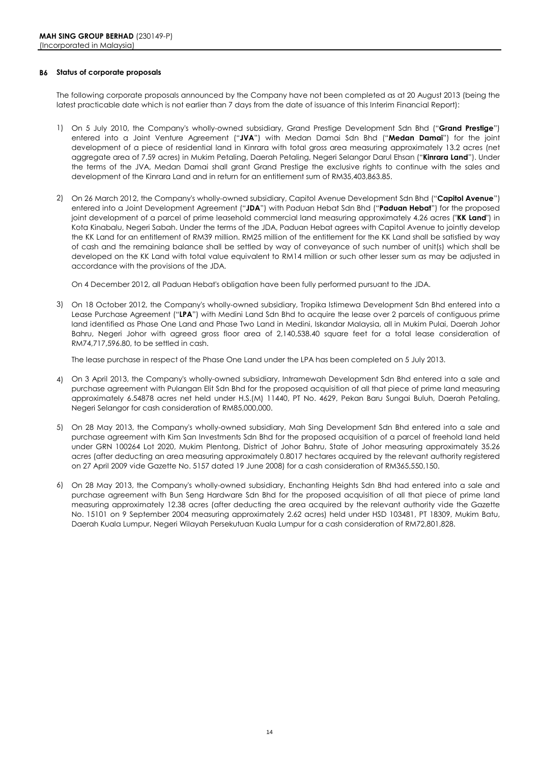#### **B6 Status of corporate proposals**

The following corporate proposals announced by the Company have not been completed as at 20 August 2013 (being the latest practicable date which is not earlier than 7 days from the date of issuance of this Interim Financial Report):

- 1) On 5 July 2010, the Company's wholly-owned subsidiary, Grand Prestige Development Sdn Bhd ("**Grand Prestige**") entered into a Joint Venture Agreement ("**JVA**") with Medan Damai Sdn Bhd ("**Medan Damai**") for the joint development of a piece of residential land in Kinrara with total gross area measuring approximately 13.2 acres (net aggregate area of 7.59 acres) in Mukim Petaling, Daerah Petaling, Negeri Selangor Darul Ehsan ("**Kinrara Land**"). Under the terms of the JVA, Medan Damai shall grant Grand Prestige the exclusive rights to continue with the sales and development of the Kinrara Land and in return for an entitlement sum of RM35,403,863.85.
- 2) On 26 March 2012, the Company's wholly-owned subsidiary, Capitol Avenue Development Sdn Bhd ("**Capitol Avenue**") entered into a Joint Development Agreement ("**JDA**") with Paduan Hebat Sdn Bhd ("**Paduan Hebat**") for the proposed joint development of a parcel of prime leasehold commercial land measuring approximately 4.26 acres ("**KK Land**") in Kota Kinabalu, Negeri Sabah. Under the terms of the JDA, Paduan Hebat agrees with Capitol Avenue to jointly develop the KK Land for an entitlement of RM39 million. RM25 million of the entitlement for the KK Land shall be satisfied by way of cash and the remaining balance shall be settled by way of conveyance of such number of unit(s) which shall be developed on the KK Land with total value equivalent to RM14 million or such other lesser sum as may be adjusted in accordance with the provisions of the JDA.

On 4 December 2012, all Paduan Hebat's obligation have been fully performed pursuant to the JDA.

3) On 18 October 2012, the Company's wholly-owned subsidiary, Tropika Istimewa Development Sdn Bhd entered into a Lease Purchase Agreement ("**LPA**") with Medini Land Sdn Bhd to acquire the lease over 2 parcels of contiguous prime land identified as Phase One Land and Phase Two Land in Medini, Iskandar Malaysia, all in Mukim Pulai, Daerah Johor Bahru, Negeri Johor with agreed gross floor area of 2,140,538.40 square feet for a total lease consideration of RM74,717,596.80, to be settled in cash.

The lease purchase in respect of the Phase One Land under the LPA has been completed on 5 July 2013.

- 4) On 3 April 2013, the Company's wholly-owned subsidiary, Intramewah Development Sdn Bhd entered into a sale and purchase agreement with Pulangan Elit Sdn Bhd for the proposed acquisition of all that piece of prime land measuring approximately 6.54878 acres net held under H.S.(M) 11440, PT No. 4629, Pekan Baru Sungai Buluh, Daerah Petaling, Negeri Selangor for cash consideration of RM85,000,000.
- 5) On 28 May 2013, the Company's wholly-owned subsidiary, Mah Sing Development Sdn Bhd entered into a sale and purchase agreement with Kim San Investments Sdn Bhd for the proposed acquisition of a parcel of freehold land held under GRN 100264 Lot 2020, Mukim Plentong, District of Johor Bahru, State of Johor measuring approximately 35.26 acres (after deducting an area measuring approximately 0.8017 hectares acquired by the relevant authority registered on 27 April 2009 vide Gazette No. 5157 dated 19 June 2008) for a cash consideration of RM365,550,150.
- 6) On 28 May 2013, the Company's wholly-owned subsidiary, Enchanting Heights Sdn Bhd had entered into a sale and purchase agreement with Bun Seng Hardware Sdn Bhd for the proposed acquisition of all that piece of prime land measuring approximately 12.38 acres (after deducting the area acquired by the relevant authority vide the Gazette No. 15101 on 9 September 2004 measuring approximately 2.62 acres) held under HSD 103481, PT 18309, Mukim Batu, Daerah Kuala Lumpur, Negeri Wilayah Persekutuan Kuala Lumpur for a cash consideration of RM72,801,828.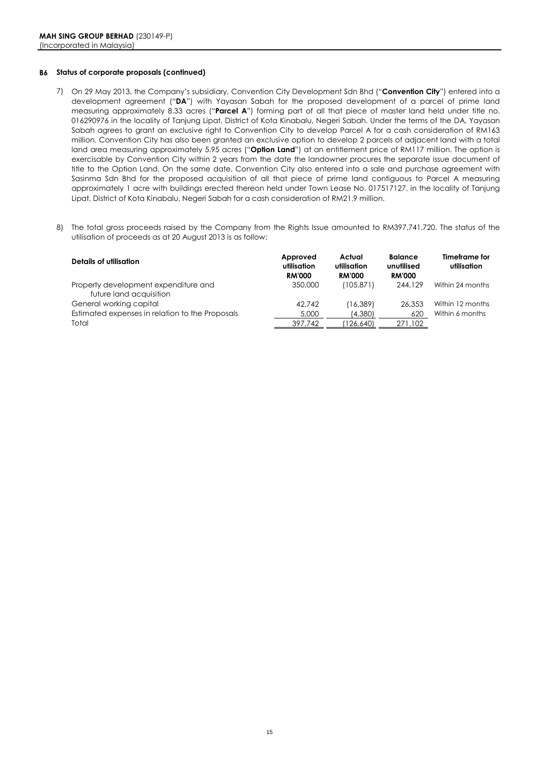#### **B6 Status of corporate proposals (continued)**

- 7) On 29 May 2013, the Company's subsidiary, Convention City Development Sdn Bhd ("**Convention City**") entered into a development agreement ("**DA**") with Yayasan Sabah for the proposed development of a parcel of prime land measuring approximately 8.33 acres ("**Parcel A**") forming part of all that piece of master land held under title no. 016290976 in the locality of Tanjung Lipat, District of Kota Kinabalu, Negeri Sabah. Under the terms of the DA, Yayasan Sabah agrees to grant an exclusive right to Convention City to develop Parcel A for a cash consideration of RM163 million. Convention City has also been granted an exclusive option to develop 2 parcels of adjacent land with a total land area measuring approximately 5.95 acres ("**Option Land**") at an entitlement price of RM117 million. The option is exercisable by Convention City within 2 years from the date the landowner procures the separate issue document of title to the Option Land. On the same date, Convention City also entered into a sale and purchase agreement with Sasinma Sdn Bhd for the proposed acquisition of all that piece of prime land contiguous to Parcel A measuring approximately 1 acre with buildings erected thereon held under Town Lease No. 017517127, in the locality of Tanjung Lipat, District of Kota Kinabalu, Negeri Sabah for a cash consideration of RM21.9 million.
- 8) The total gross proceeds raised by the Company from the Rights Issue amounted to RM397,741,720. The status of the utilisation of proceeds as at 20 August 2013 is as follow:

| Details of utilisation                                          | Approved<br>utilisation<br><b>RM'000</b> | Actual<br>utilisation<br><b>RM'000</b> | <b>Balance</b><br>unutilised<br><b>RM'000</b> | Timeframe for<br>utilisation |
|-----------------------------------------------------------------|------------------------------------------|----------------------------------------|-----------------------------------------------|------------------------------|
| Property development expenditure and<br>future land acquisition | 350,000                                  | (105, 871)                             | 244,129                                       | Within 24 months             |
| General working capital                                         | 42.742                                   | (16, 389)                              | 26,353                                        | Within 12 months             |
| Estimated expenses in relation to the Proposals                 | 5,000                                    | (4,380)                                | 620                                           | Within 6 months              |
| Total                                                           | 397.742                                  | 126.640                                | 271,102                                       |                              |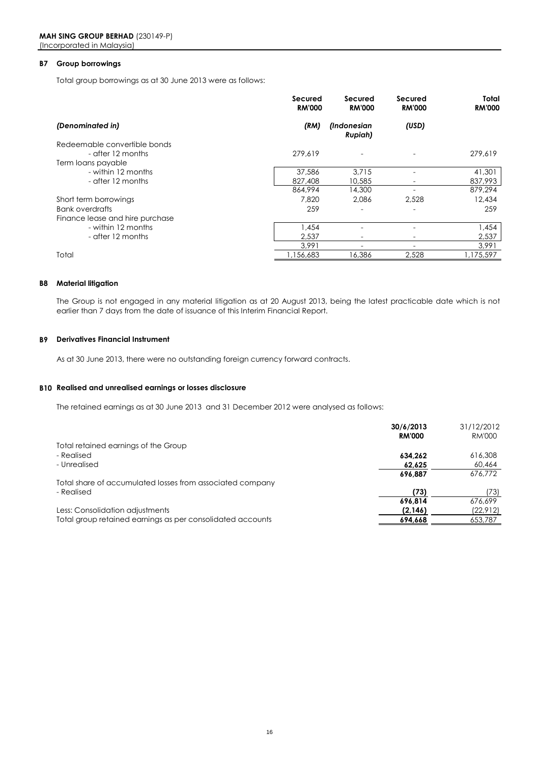#### **B7 Group borrowings**

Total group borrowings as at 30 June 2013 were as follows:

|                                 | Secured<br><b>RM'000</b> | Secured<br><b>RM'000</b> | Secured<br><b>RM'000</b> | Total<br><b>RM'000</b> |
|---------------------------------|--------------------------|--------------------------|--------------------------|------------------------|
| (Denominated in)                | (RM)                     | (Indonesian<br>Rupiah)   | (USD)                    |                        |
| Redeemable convertible bonds    |                          |                          |                          |                        |
| - after 12 months               | 279,619                  |                          |                          | 279.619                |
| Term loans payable              |                          |                          |                          |                        |
| - within 12 months              | 37,586                   | 3.715                    |                          | 41,301                 |
| - after 12 months               | 827,408                  | 10,585                   |                          | 837,993                |
|                                 | 864,994                  | 14,300                   |                          | 879,294                |
| Short term borrowings           | 7,820                    | 2.086                    | 2,528                    | 12,434                 |
| Bank overdrafts                 | 259                      |                          |                          | 259                    |
| Finance lease and hire purchase |                          |                          |                          |                        |
| - within 12 months              | 1,454                    |                          |                          | 1,454                  |
| - after 12 months               | 2,537                    |                          |                          | 2,537                  |
|                                 | 3.991                    | $\overline{\phantom{a}}$ | -                        | 3,991                  |
| Total                           | 1,156,683                | 16,386                   | 2,528                    | 1,175,597              |

#### **B8 Material litigation**

The Group is not engaged in any material litigation as at 20 August 2013, being the latest practicable date which is not earlier than 7 days from the date of issuance of this Interim Financial Report.

#### **B9 Derivatives Financial Instrument**

As at 30 June 2013, there were no outstanding foreign currency forward contracts.

#### **B10 Realised and unrealised earnings or losses disclosure**

The retained earnings as at 30 June 2013 and 31 December 2012 were analysed as follows:

|                                                            | 30/6/2013     | 31/12/2012 |
|------------------------------------------------------------|---------------|------------|
|                                                            | <b>RM'000</b> | RM'000     |
| Total retained earnings of the Group                       |               |            |
| - Realised                                                 | 634.262       | 616,308    |
| - Unrealised                                               | 62.625        | 60,464     |
|                                                            | 696.887       | 676.772    |
| Total share of accumulated losses from associated company  |               |            |
| - Realised                                                 | (73)          | (73)       |
|                                                            | 696.814       | 676.699    |
| Less: Consolidation adjustments                            | (2,146)       | (22, 912)  |
| Total group retained earnings as per consolidated accounts | 694.668       | 653,787    |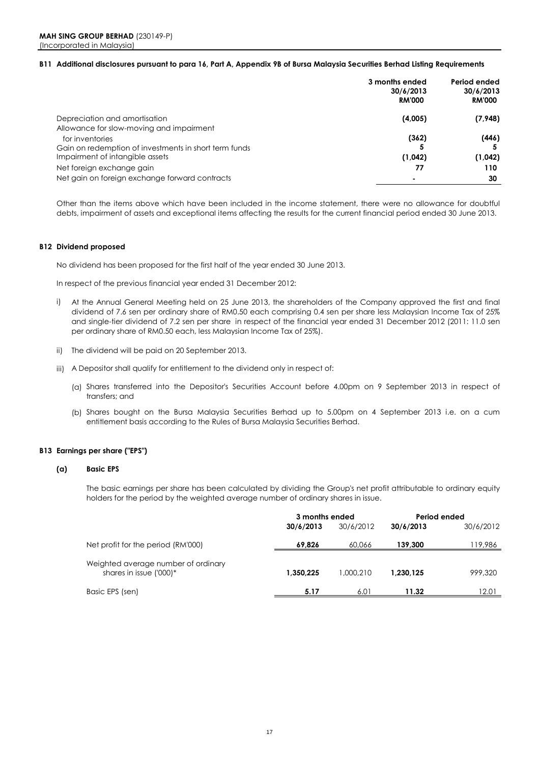#### **B11 Additional disclosures pursuant to para 16, Part A, Appendix 9B of Bursa Malaysia Securities Berhad Listing Requirements**

|                                                       | 3 months ended<br>30/6/2013<br><b>RM'000</b> | Period ended<br>30/6/2013<br><b>RM'000</b> |
|-------------------------------------------------------|----------------------------------------------|--------------------------------------------|
| Depreciation and amortisation                         | (4,005)                                      | (7,948)                                    |
| Allowance for slow-moving and impairment              |                                              |                                            |
| for inventories                                       | (362)                                        | (446)                                      |
| Gain on redemption of investments in short term funds |                                              |                                            |
| Impairment of intangible assets                       | (1,042)                                      | (1,042)                                    |
| Net foreign exchange gain                             | 77                                           | 110                                        |
| Net gain on foreign exchange forward contracts        |                                              | 30                                         |

Other than the items above which have been included in the income statement, there were no allowance for doubtful debts, impairment of assets and exceptional items affecting the results for the current financial period ended 30 June 2013.

#### **B12 Dividend proposed**

No dividend has been proposed for the first half of the year ended 30 June 2013.

In respect of the previous financial year ended 31 December 2012:

- i) At the Annual General Meeting held on 25 June 2013, the shareholders of the Company approved the first and final dividend of 7.6 sen per ordinary share of RM0.50 each comprising 0.4 sen per share less Malaysian Income Tax of 25% and single-tier dividend of 7.2 sen per share in respect of the financial year ended 31 December 2012 (2011: 11.0 sen per ordinary share of RM0.50 each, less Malaysian Income Tax of 25%).
- ii) The dividend will be paid on 20 September 2013.
- iii) A Depositor shall qualify for entitlement to the dividend only in respect of:
	- (a) Shares transferred into the Depositor's Securities Account before 4.00pm on 9 September 2013 in respect of transfers; and
	- (b) Shares bought on the Bursa Malaysia Securities Berhad up to 5.00pm on 4 September 2013 i.e. on a cum entitlement basis according to the Rules of Bursa Malaysia Securities Berhad.

#### **B13 Earnings per share ("EPS")**

#### **(a) Basic EPS**

The basic earnings per share has been calculated by dividing the Group's net profit attributable to ordinary equity holders for the period by the weighted average number of ordinary shares in issue.

|                                                                | 3 months ended |           | Period ended |           |
|----------------------------------------------------------------|----------------|-----------|--------------|-----------|
|                                                                | 30/6/2013      | 30/6/2012 | 30/6/2013    | 30/6/2012 |
| Net profit for the period (RM'000)                             | 69,826         | 60.066    | 139,300      | 119,986   |
| Weighted average number of ordinary<br>shares in issue ('000)* | 1.350.225      | 1.000.210 | 1.230.125    | 999,320   |
| Basic EPS (sen)                                                | 5.17           | 6.01      | 11.32        | 12.01     |